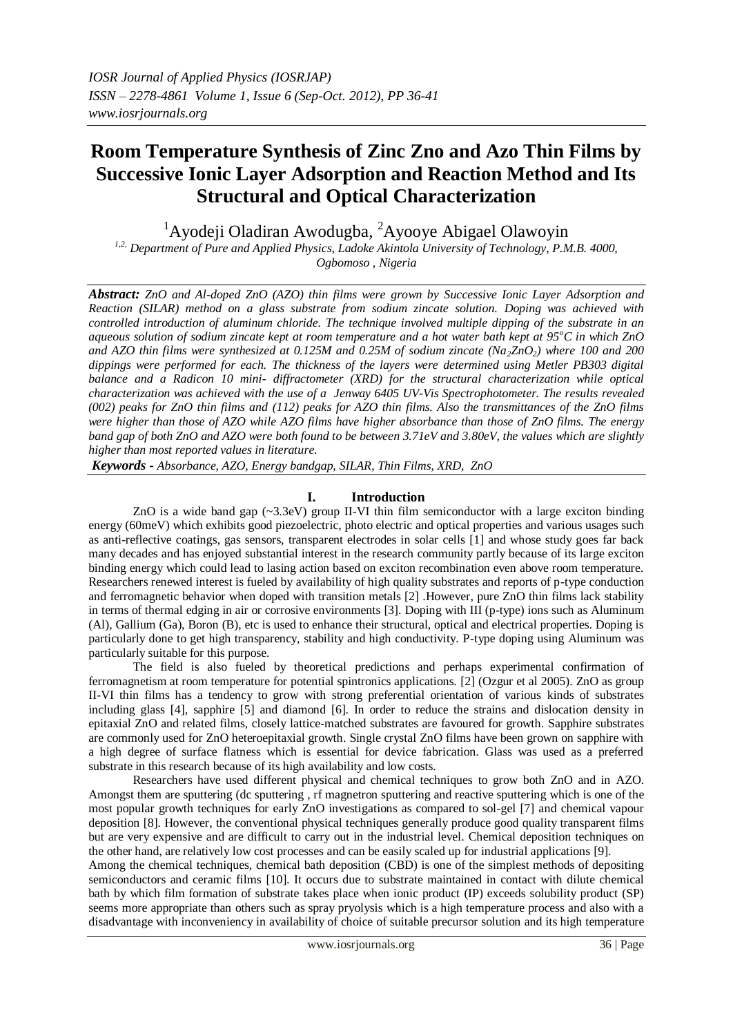# **Room Temperature Synthesis of Zinc Zno and Azo Thin Films by Successive Ionic Layer Adsorption and Reaction Method and Its Structural and Optical Characterization**

<sup>1</sup>Ayodeji Oladiran Awodugba, <sup>2</sup>Ayooye Abigael Olawoyin

*1,2, Department of Pure and Applied Physics, Ladoke Akintola University of Technology, P.M.B. 4000, Ogbomoso , Nigeria*

*Abstract: ZnO and Al-doped ZnO (AZO) thin films were grown by Successive Ionic Layer Adsorption and Reaction (SILAR) method on a glass substrate from sodium zincate solution. Doping was achieved with controlled introduction of aluminum chloride. The technique involved multiple dipping of the substrate in an aqueous solution of sodium zincate kept at room temperature and a hot water bath kept at 95<sup>o</sup>C in which ZnO and AZO thin films were synthesized at 0.125M and 0.25M of sodium zincate (Na2ZnO2) where 100 and 200 dippings were performed for each. The thickness of the layers were determined using Metler PB303 digital balance and a Radicon 10 mini- diffractometer (XRD) for the structural characterization while optical characterization was achieved with the use of a Jenway 6405 UV-Vis Spectrophotometer. The results revealed (002) peaks for ZnO thin films and (112) peaks for AZO thin films. Also the transmittances of the ZnO films were higher than those of AZO while AZO films have higher absorbance than those of ZnO films. The energy band gap of both ZnO and AZO were both found to be between 3.71eV and 3.80eV, the values which are slightly higher than most reported values in literature.* 

*Keywords - Absorbance, AZO, Energy bandgap, SILAR, Thin Films, XRD, ZnO*

## **I. Introduction**

ZnO is a wide band gap  $(\sim 3.3$ eV) group II-VI thin film semiconductor with a large exciton binding energy (60meV) which exhibits good piezoelectric, photo electric and optical properties and various usages such as anti-reflective coatings, gas sensors, transparent electrodes in solar cells [1] and whose study goes far back many decades and has enjoyed substantial interest in the research community partly because of its large exciton binding energy which could lead to lasing action based on exciton recombination even above room temperature. Researchers renewed interest is fueled by availability of high quality substrates and reports of p-type conduction and ferromagnetic behavior when doped with transition metals [2] .However, pure ZnO thin films lack stability in terms of thermal edging in air or corrosive environments [3]. Doping with III (p-type) ions such as Aluminum (Al), Gallium (Ga), Boron (B), etc is used to enhance their structural, optical and electrical properties. Doping is particularly done to get high transparency, stability and high conductivity. P-type doping using Aluminum was particularly suitable for this purpose.

The field is also fueled by theoretical predictions and perhaps experimental confirmation of ferromagnetism at room temperature for potential spintronics applications. [2] (Ozgur et al 2005). ZnO as group II-VI thin films has a tendency to grow with strong preferential orientation of various kinds of substrates including glass [4], sapphire [5] and diamond [6]. In order to reduce the strains and dislocation density in epitaxial ZnO and related films, closely lattice-matched substrates are favoured for growth. Sapphire substrates are commonly used for ZnO heteroepitaxial growth. Single crystal ZnO films have been grown on sapphire with a high degree of surface flatness which is essential for device fabrication. Glass was used as a preferred substrate in this research because of its high availability and low costs.

Researchers have used different physical and chemical techniques to grow both ZnO and in AZO. Amongst them are sputtering (dc sputtering , rf magnetron sputtering and reactive sputtering which is one of the most popular growth techniques for early ZnO investigations as compared to sol-gel [7] and chemical vapour deposition [8]. However, the conventional physical techniques generally produce good quality transparent films but are very expensive and are difficult to carry out in the industrial level. Chemical deposition techniques on the other hand, are relatively low cost processes and can be easily scaled up for industrial applications [9].

Among the chemical techniques, chemical bath deposition (CBD) is one of the simplest methods of depositing semiconductors and ceramic films [10]. It occurs due to substrate maintained in contact with dilute chemical bath by which film formation of substrate takes place when ionic product (IP) exceeds solubility product (SP) seems more appropriate than others such as spray pryolysis which is a high temperature process and also with a disadvantage with inconveniency in availability of choice of suitable precursor solution and its high temperature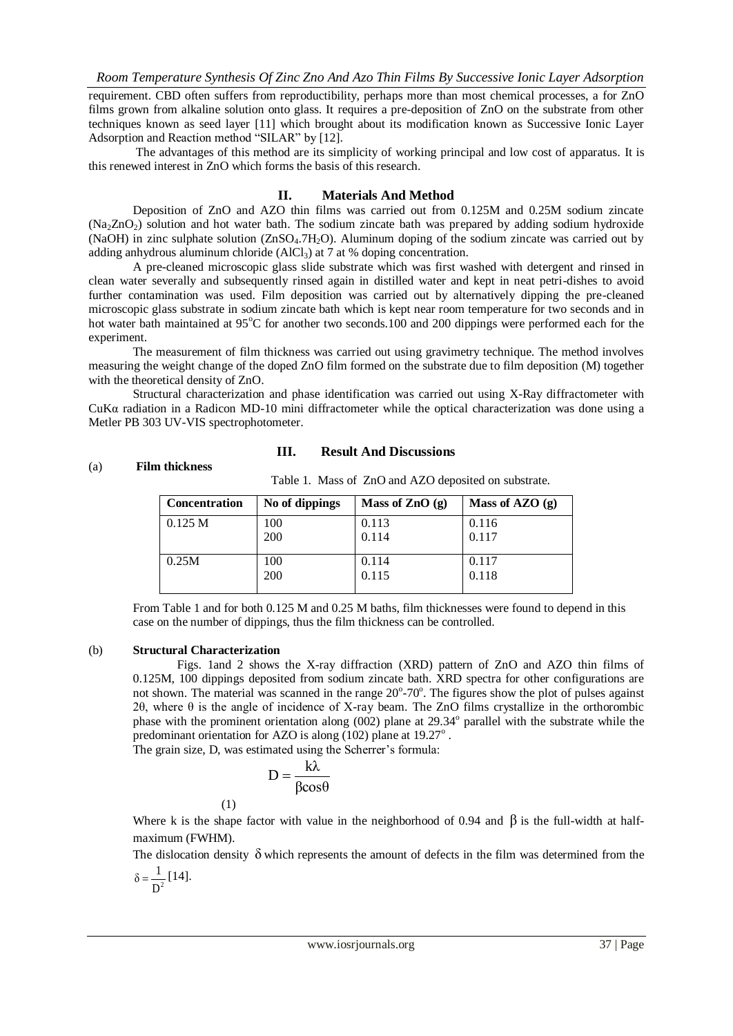requirement. CBD often suffers from reproductibility, perhaps more than most chemical processes, a for ZnO films grown from alkaline solution onto glass. It requires a pre-deposition of ZnO on the substrate from other techniques known as seed layer [11] which brought about its modification known as Successive Ionic Layer Adsorption and Reaction method "SILAR" by [12].

The advantages of this method are its simplicity of working principal and low cost of apparatus. It is this renewed interest in ZnO which forms the basis of this research.

## **II. Materials And Method**

Deposition of ZnO and AZO thin films was carried out from 0.125M and 0.25M sodium zincate  $(Na_2ZnO_2)$  solution and hot water bath. The sodium zincate bath was prepared by adding sodium hydroxide (NaOH) in zinc sulphate solution  $(ZnSO<sub>4</sub>,7H<sub>2</sub>O)$ . Aluminum doping of the sodium zincate was carried out by adding anhydrous aluminum chloride  $(AICI<sub>3</sub>)$  at 7 at % doping concentration.

A pre-cleaned microscopic glass slide substrate which was first washed with detergent and rinsed in clean water severally and subsequently rinsed again in distilled water and kept in neat petri-dishes to avoid further contamination was used. Film deposition was carried out by alternatively dipping the pre-cleaned microscopic glass substrate in sodium zincate bath which is kept near room temperature for two seconds and in hot water bath maintained at 95°C for another two seconds.100 and 200 dippings were performed each for the experiment.

The measurement of film thickness was carried out using gravimetry technique. The method involves measuring the weight change of the doped ZnO film formed on the substrate due to film deposition (M) together with the theoretical density of ZnO.

Structural characterization and phase identification was carried out using X-Ray diffractometer with CuKα radiation in a Radicon MD-10 mini diffractometer while the optical characterization was done using a Metler PB 303 UV-VIS spectrophotometer.

#### (a) **Film thickness**

### **III. Result And Discussions**

| <b>Concentration</b> | No of dippings | Mass of $ZnO(g)$ | Mass of AZO $(g)$ |  |
|----------------------|----------------|------------------|-------------------|--|
| 0.125 M              | 100            | 0.113            | 0.116             |  |
|                      | <b>200</b>     | 0.114            | 0.117             |  |
| 0.25M                | 100            | 0.114            | 0.117             |  |
|                      | <b>200</b>     | 0.115            | 0.118             |  |

Table 1. Mass of ZnO and AZO deposited on substrate.

From Table 1 and for both 0.125 M and 0.25 M baths, film thicknesses were found to depend in this case on the number of dippings, thus the film thickness can be controlled.

### (b) **Structural Characterization**

Figs. 1and 2 shows the X-ray diffraction (XRD) pattern of ZnO and AZO thin films of 0.125M, 100 dippings deposited from sodium zincate bath. XRD spectra for other configurations are not shown. The material was scanned in the range 20°-70°. The figures show the plot of pulses against 2θ, where θ is the angle of incidence of X-ray beam. The ZnO films crystallize in the orthorombic phase with the prominent orientation along  $(002)$  plane at 29.34 $^{\circ}$  parallel with the substrate while the predominant orientation for AZO is along  $(102)$  plane at  $19.27^\circ$ . The grain size, D, was estimated using the Scherrer's formula:

> βcosθ  $D = \frac{k\lambda}{2}$

(1)

Where k is the shape factor with value in the neighborhood of 0.94 and  $\beta$  is the full-width at halfmaximum (FWHM).

The dislocation density  $\delta$  which represents the amount of defects in the film was determined from the 1 [14].

$$
\delta = \frac{1}{D^2} [14]
$$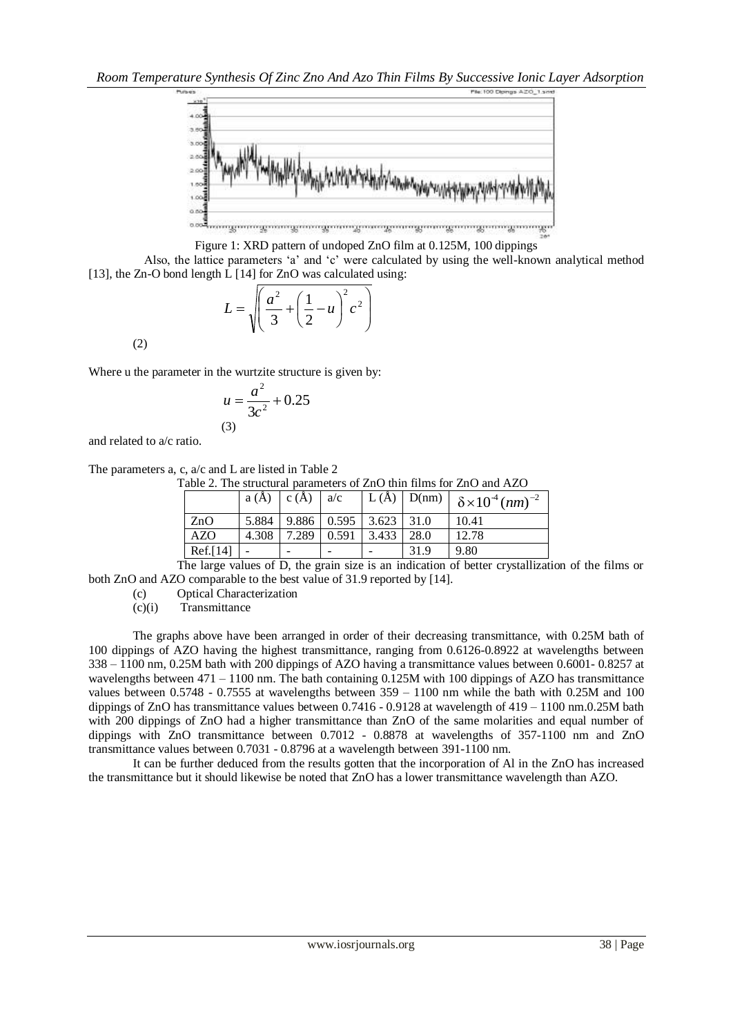

Figure 1: XRD pattern of undoped ZnO film at 0.125M, 100 dippings

Also, the lattice parameters 'a' and 'c' were calculated by using the well-known analytical method [13], the Zn-O bond length L [14] for ZnO was calculated using:

$$
L = \sqrt{\left(\frac{a^2}{3} + \left(\frac{1}{2} - u\right)^2 c^2\right)}
$$

(2)

Where u the parameter in the wurtzite structure is given by:

$$
u = \frac{a^2}{3c^2} + 0.25
$$
  
(3)

and related to a/c ratio.

The parameters a, c, a/c and L are listed in Table 2

| Table 2. The structural parameters of ZnO thin films for ZnO and AZO |  |  |  |
|----------------------------------------------------------------------|--|--|--|
|----------------------------------------------------------------------|--|--|--|

|            | a(A)  | c(A)                 | a/c   |                                         |          | $\lceil$ L(Å) $\lceil$ D(nm) $\lceil \delta \times 10^4$ (nm) <sup>-2</sup> |
|------------|-------|----------------------|-------|-----------------------------------------|----------|-----------------------------------------------------------------------------|
| ZnO        | 5.884 |                      |       | $9.886 \mid 0.595 \mid 3.623 \mid 31.0$ |          | 10.41                                                                       |
| <b>AZO</b> | 4.308 | 7.289                | 0.591 | 3.433                                   | 28.0     | 12.78                                                                       |
| Ref.[14]   |       |                      |       |                                         | 31.9     | 9.80                                                                        |
|            |       | $\sim$ $\sim$ $\sim$ |       |                                         | $\cdots$ | $-111$                                                                      |

The large values of D, the grain size is an indication of better crystallization of the films or both ZnO and AZO comparable to the best value of 31.9 reported by [14].

- (c) Optical Characterization
- (c)(i) Transmittance

The graphs above have been arranged in order of their decreasing transmittance, with 0.25M bath of 100 dippings of AZO having the highest transmittance, ranging from 0.6126-0.8922 at wavelengths between 338 – 1100 nm, 0.25M bath with 200 dippings of AZO having a transmittance values between 0.6001- 0.8257 at wavelengths between 471 – 1100 nm. The bath containing 0.125M with 100 dippings of AZO has transmittance values between 0.5748 - 0.7555 at wavelengths between 359 – 1100 nm while the bath with 0.25M and 100 dippings of ZnO has transmittance values between 0.7416 - 0.9128 at wavelength of 419 – 1100 nm.0.25M bath with 200 dippings of ZnO had a higher transmittance than ZnO of the same molarities and equal number of dippings with ZnO transmittance between 0.7012 - 0.8878 at wavelengths of 357-1100 nm and ZnO transmittance values between 0.7031 - 0.8796 at a wavelength between 391-1100 nm.

It can be further deduced from the results gotten that the incorporation of Al in the ZnO has increased the transmittance but it should likewise be noted that ZnO has a lower transmittance wavelength than AZO.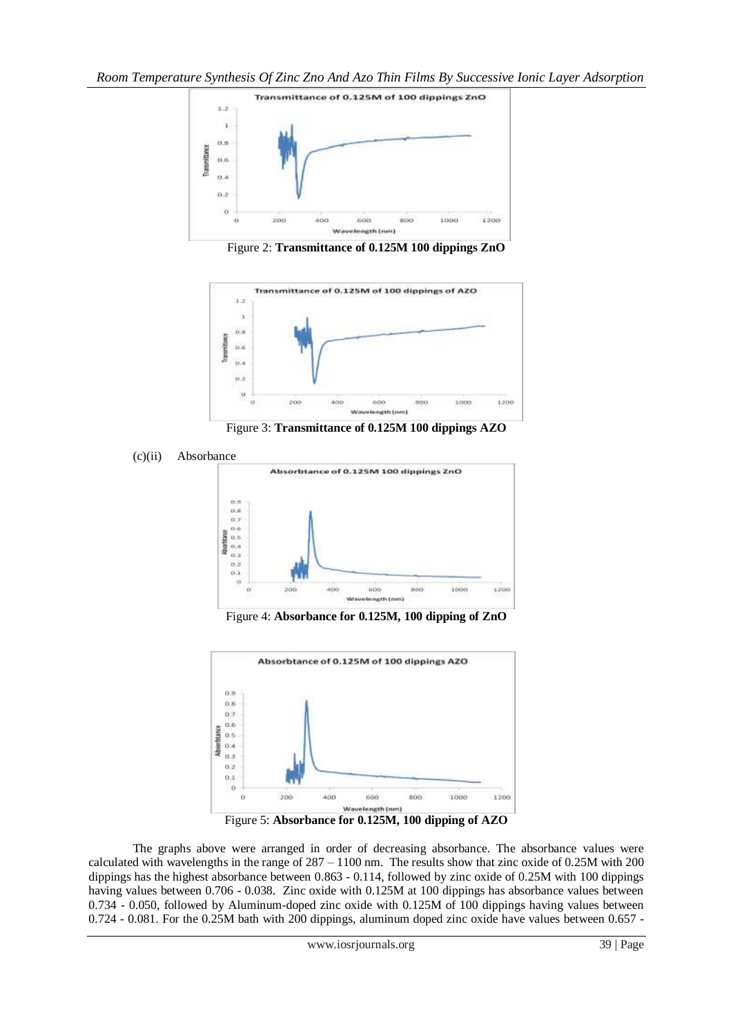

Figure 2: **Transmittance of 0.125M 100 dippings ZnO**



Figure 3: **Transmittance of 0.125M 100 dippings AZO**



Figure 4: **Absorbance for 0.125M, 100 dipping of ZnO**



Figure 5: **Absorbance for 0.125M, 100 dipping of AZO**

The graphs above were arranged in order of decreasing absorbance. The absorbance values were calculated with wavelengths in the range of 287 – 1100 nm. The results show that zinc oxide of 0.25M with 200 dippings has the highest absorbance between 0.863 - 0.114, followed by zinc oxide of 0.25M with 100 dippings having values between 0.706 - 0.038. Zinc oxide with 0.125M at 100 dippings has absorbance values between 0.734 - 0.050, followed by Aluminum-doped zinc oxide with 0.125M of 100 dippings having values between 0.724 - 0.081. For the 0.25M bath with 200 dippings, aluminum doped zinc oxide have values between 0.657 -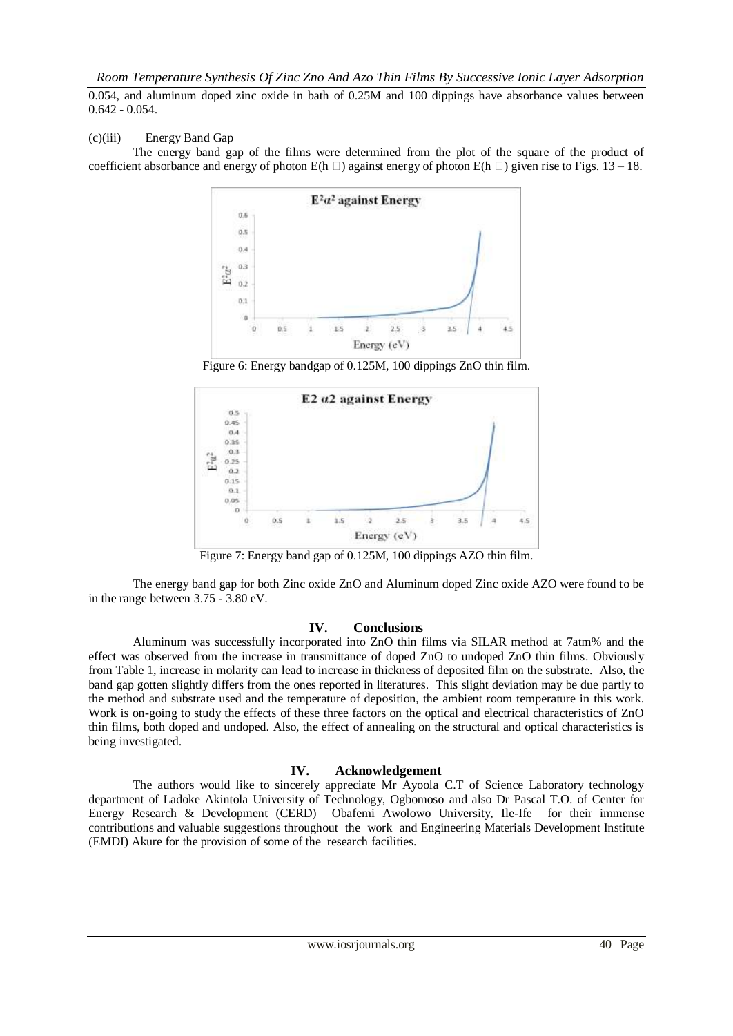*Room Temperature Synthesis Of Zinc Zno And Azo Thin Films By Successive Ionic Layer Adsorption*  0.054, and aluminum doped zinc oxide in bath of 0.25M and 100 dippings have absorbance values between 0.642 - 0.054.

## (c)(iii) Energy Band Gap

The energy band gap of the films were determined from the plot of the square of the product of coefficient absorbance and energy of photon E(h  $\Box$ ) against energy of photon E(h  $\Box$ ) given rise to Figs. 13 – 18.



Figure 6: Energy bandgap of 0.125M, 100 dippings ZnO thin film.



Figure 7: Energy band gap of 0.125M, 100 dippings AZO thin film.

The energy band gap for both Zinc oxide ZnO and Aluminum doped Zinc oxide AZO were found to be in the range between 3.75 - 3.80 eV.

## **IV. Conclusions**

Aluminum was successfully incorporated into ZnO thin films via SILAR method at 7atm% and the effect was observed from the increase in transmittance of doped ZnO to undoped ZnO thin films. Obviously from Table 1, increase in molarity can lead to increase in thickness of deposited film on the substrate. Also, the band gap gotten slightly differs from the ones reported in literatures. This slight deviation may be due partly to the method and substrate used and the temperature of deposition, the ambient room temperature in this work. Work is on-going to study the effects of these three factors on the optical and electrical characteristics of ZnO thin films, both doped and undoped. Also, the effect of annealing on the structural and optical characteristics is being investigated.

## **IV. Acknowledgement**

The authors would like to sincerely appreciate Mr Ayoola C.T of Science Laboratory technology department of Ladoke Akintola University of Technology, Ogbomoso and also Dr Pascal T.O. of Center for Energy Research & Development (CERD) Obafemi Awolowo University, Ile-Ife for their immense contributions and valuable suggestions throughout the work and Engineering Materials Development Institute (EMDI) Akure for the provision of some of the research facilities.